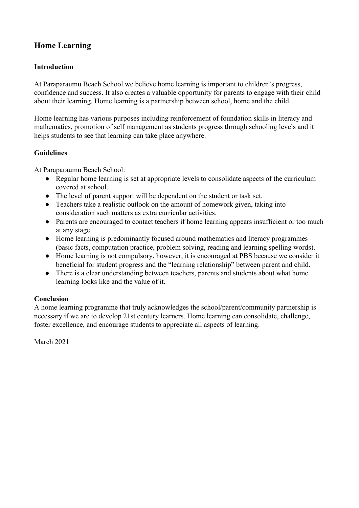# **Home Learning**

### **Introduction**

At Paraparaumu Beach School we believe home learning is important to children's progress, confidence and success. It also creates a valuable opportunity for parents to engage with their child about their learning. Home learning is a partnership between school, home and the child.

Home learning has various purposes including reinforcement of foundation skills in literacy and mathematics, promotion of self management as students progress through schooling levels and it helps students to see that learning can take place anywhere.

### **Guidelines**

At Paraparaumu Beach School:

- Regular home learning is set at appropriate levels to consolidate aspects of the curriculum covered at school.
- The level of parent support will be dependent on the student or task set.
- Teachers take a realistic outlook on the amount of homework given, taking into consideration such matters as extra curricular activities.
- Parents are encouraged to contact teachers if home learning appears insufficient or too much at any stage.
- Home learning is predominantly focused around mathematics and literacy programmes (basic facts, computation practice, problem solving, reading and learning spelling words).
- Home learning is not compulsory, however, it is encouraged at PBS because we consider it beneficial for student progress and the "learning relationship" between parent and child.
- There is a clear understanding between teachers, parents and students about what home learning looks like and the value of it.

### **Conclusion**

A home learning programme that truly acknowledges the school/parent/community partnership is necessary if we are to develop 21st century learners. Home learning can consolidate, challenge, foster excellence, and encourage students to appreciate all aspects of learning.

March 2021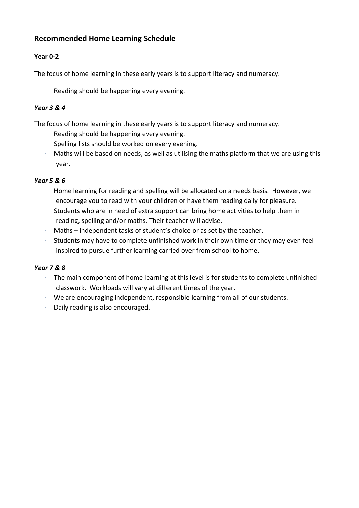## **Recommended Home Learning Schedule**

## **Year 0-2**

The focus of home learning in these early years is to support literacy and numeracy.

Reading should be happening every evening.

### *Year 3 & 4*

The focus of home learning in these early years is to support literacy and numeracy.

- Reading should be happening every evening.
- · Spelling lists should be worked on every evening.
- · Maths will be based on needs, as well as utilising the maths platform that we are using this year.

### *Year 5 & 6*

- · Home learning for reading and spelling will be allocated on a needs basis. However, we encourage you to read with your children or have them reading daily for pleasure.
- · Students who are in need of extra support can bring home activities to help them in reading, spelling and/or maths. Their teacher will advise.
- · Maths independent tasks of student's choice or as set by the teacher.
- Students may have to complete unfinished work in their own time or they may even feel inspired to pursue further learning carried over from school to home.

### *Year 7 & 8*

- · The main component of home learning at this level is for students to complete unfinished classwork. Workloads will vary at different times of the year.
- · We are encouraging independent, responsible learning from all of our students.
- · Daily reading is also encouraged.